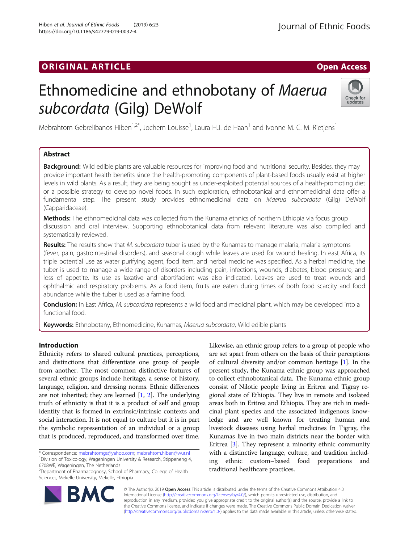# ORIGINAL ARTICLE AND INTERNATIONAL ARTICLE AND LODGED AND LODGED AND LODGED AT A CONSUMING A SUBSEX OPEN ACCESS

# Ethnomedicine and ethnobotany of Maerua subcordata (Gilg) DeWolf



Mebrahtom Gebrelibanos Hiben<sup>1,2\*</sup>, Jochem Louisse<sup>1</sup>, Laura H.J. de Haan<sup>1</sup> and Ivonne M. C. M. Rietjens<sup>1</sup>

# Abstract

Background: Wild edible plants are valuable resources for improving food and nutritional security. Besides, they may provide important health benefits since the health-promoting components of plant-based foods usually exist at higher levels in wild plants. As a result, they are being sought as under-exploited potential sources of a health-promoting diet or a possible strategy to develop novel foods. In such exploration, ethnobotanical and ethnomedicinal data offer a fundamental step. The present study provides ethnomedicinal data on Maerua subcordata (Gilg) DeWolf (Capparidaceae).

Methods: The ethnomedicinal data was collected from the Kunama ethnics of northern Ethiopia via focus group discussion and oral interview. Supporting ethnobotanical data from relevant literature was also compiled and systematically reviewed.

Results: The results show that M. subcordata tuber is used by the Kunamas to manage malaria, malaria symptoms (fever, pain, gastrointestinal disorders), and seasonal cough while leaves are used for wound healing. In east Africa, its triple potential use as water purifying agent, food item, and herbal medicine was specified. As a herbal medicine, the tuber is used to manage a wide range of disorders including pain, infections, wounds, diabetes, blood pressure, and loss of appetite. Its use as laxative and abortifacient was also indicated. Leaves are used to treat wounds and ophthalmic and respiratory problems. As a food item, fruits are eaten during times of both food scarcity and food abundance while the tuber is used as a famine food.

Conclusion: In East Africa, M. subcordata represents a wild food and medicinal plant, which may be developed into a functional food.

Keywords: Ethnobotany, Ethnomedicine, Kunamas, Maerua subcordata, Wild edible plants

# Introduction

Ethnicity refers to shared cultural practices, perceptions, and distinctions that differentiate one group of people from another. The most common distinctive features of several ethnic groups include heritage, a sense of history, language, religion, and dressing norms. Ethnic differences are not inherited; they are learned  $[1, 2]$  $[1, 2]$  $[1, 2]$  $[1, 2]$  $[1, 2]$ . The underlying truth of ethnicity is that it is a product of self and group identity that is formed in extrinsic/intrinsic contexts and social interaction. It is not equal to culture but it is in part the symbolic representation of an individual or a group that is produced, reproduced, and transformed over time.

\* Correspondence: [mebrahtomgs@yahoo.com;](mailto:mebrahtomgs@yahoo.com) [mebrahtom.hiben@wur.nl](mailto:mebrahtom.hiben@wur.nl) <sup>1</sup> <sup>1</sup> Division of Toxicology, Wageningen University & Research, Stippeneng 4, 6708WE, Wageningen, The Netherlands

Likewise, an ethnic group refers to a group of people who are set apart from others on the basis of their perceptions of cultural diversity and/or common heritage [\[1\]](#page-6-0). In the present study, the Kunama ethnic group was approached to collect ethnobotanical data. The Kunama ethnic group consist of Nilotic people living in Eritrea and Tigray regional state of Ethiopia. They live in remote and isolated areas both in Eritrea and Ethiopia. They are rich in medicinal plant species and the associated indigenous knowledge and are well known for treating human and livestock diseases using herbal medicines In Tigray, the Kunamas live in two main districts near the border with Eritrea [\[3](#page-6-0)]. They represent a minority ethnic community with a distinctive language, culture, and tradition including ethnic custom–based food preparations and traditional healthcare practices.



© The Author(s). 2019 **Open Access** This article is distributed under the terms of the Creative Commons Attribution 4.0 International License [\(http://creativecommons.org/licenses/by/4.0/](http://creativecommons.org/licenses/by/4.0/)), which permits unrestricted use, distribution, and reproduction in any medium, provided you give appropriate credit to the original author(s) and the source, provide a link to the Creative Commons license, and indicate if changes were made. The Creative Commons Public Domain Dedication waiver [\(http://creativecommons.org/publicdomain/zero/1.0/](http://creativecommons.org/publicdomain/zero/1.0/)) applies to the data made available in this article, unless otherwise stated.

<sup>2</sup> Department of Pharmacognosy, School of Pharmacy, College of Health Sciences, Mekelle University, Mekelle, Ethiopia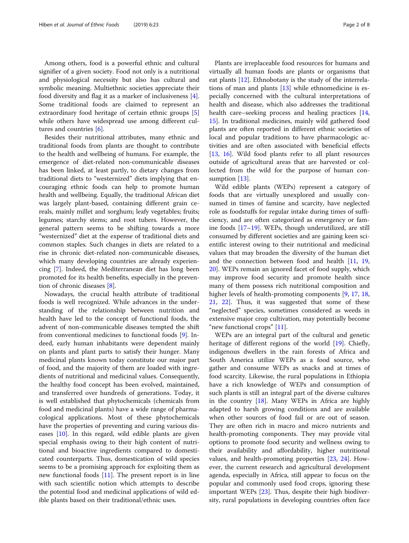Among others, food is a powerful ethnic and cultural signifier of a given society. Food not only is a nutritional and physiological necessity but also has cultural and symbolic meaning. Multiethnic societies appreciate their food diversity and flag it as a marker of inclusiveness [\[4](#page-6-0)]. Some traditional foods are claimed to represent an extraordinary food heritage of certain ethnic groups [\[5](#page-6-0)] while others have widespread use among different cultures and countries [[6\]](#page-6-0).

Besides their nutritional attributes, many ethnic and traditional foods from plants are thought to contribute to the health and wellbeing of humans. For example, the emergence of diet-related non-communicable diseases has been linked, at least partly, to dietary changes from traditional diets to "westernized" diets implying that encouraging ethnic foods can help to promote human health and wellbeing. Equally, the traditional African diet was largely plant-based, containing different grain cereals, mainly millet and sorghum; leafy vegetables; fruits; legumes; starchy stems; and root tubers. However, the general pattern seems to be shifting towards a more "westernized" diet at the expense of traditional diets and common staples. Such changes in diets are related to a rise in chronic diet-related non-communicable diseases, which many developing countries are already experiencing [\[7](#page-6-0)]. Indeed, the Mediterranean diet has long been promoted for its health benefits, especially in the prevention of chronic diseases [\[8\]](#page-6-0).

Nowadays, the crucial health attribute of traditional foods is well recognized. While advances in the understanding of the relationship between nutrition and health have led to the concept of functional foods, the advent of non-communicable diseases tempted the shift from conventional medicines to functional foods [[9\]](#page-6-0). Indeed, early human inhabitants were dependent mainly on plants and plant parts to satisfy their hunger. Many medicinal plants known today constitute our major part of food, and the majority of them are loaded with ingredients of nutritional and medicinal values. Consequently, the healthy food concept has been evolved, maintained, and transferred over hundreds of generations. Today, it is well established that phytochemicals (chemicals from food and medicinal plants) have a wide range of pharmacological applications. Most of these phytochemicals have the properties of preventing and curing various diseases [\[10](#page-6-0)]. In this regard, wild edible plants are given special emphasis owing to their high content of nutritional and bioactive ingredients compared to domesticated counterparts. Thus, domestication of wild species seems to be a promising approach for exploiting them as new functional foods [\[11](#page-6-0)]. The present report is in line with such scientific notion which attempts to describe the potential food and medicinal applications of wild edible plants based on their traditional/ethnic uses.

Plants are irreplaceable food resources for humans and virtually all human foods are plants or organisms that eat plants [\[12](#page-6-0)]. Ethnobotany is the study of the interrelations of man and plants [\[13\]](#page-6-0) while ethnomedicine is especially concerned with the cultural interpretations of health and disease, which also addresses the traditional health care–seeking process and healing practices [[14](#page-6-0), [15\]](#page-6-0). In traditional medicines, mainly wild gathered food plants are often reported in different ethnic societies of local and popular traditions to have pharmacologic activities and are often associated with beneficial effects [[13,](#page-6-0) [16\]](#page-6-0). Wild food plants refer to all plant resources outside of agricultural areas that are harvested or collected from the wild for the purpose of human con-sumption [[13](#page-6-0)].

Wild edible plants (WEPs) represent a category of foods that are virtually unexplored and usually consumed in times of famine and scarcity, have neglected role as foodstuffs for regular intake during times of sufficiency, and are often categorized as emergency or famine foods [[17](#page-6-0)–[19](#page-6-0)]. WEPs, though underutilized, are still consumed by different societies and are gaining keen scientific interest owing to their nutritional and medicinal values that may broaden the diversity of the human diet and the connection between food and health [\[11](#page-6-0), [19](#page-6-0), [20\]](#page-6-0). WEPs remain an ignored facet of food supply, which may improve food security and promote health since many of them possess rich nutritional composition and higher levels of health-promoting components [\[9](#page-6-0), [17](#page-6-0), [18](#page-6-0), [21,](#page-6-0) [22\]](#page-6-0). Thus, it was suggested that some of these "neglected" species, sometimes considered as weeds in extensive major crop cultivation, may potentially become "new functional crops" [[11\]](#page-6-0).

WEPs are an integral part of the cultural and genetic heritage of different regions of the world [\[19\]](#page-6-0). Chiefly, indigenous dwellers in the rain forests of Africa and South America utilize WEPs as a food source, who gather and consume WEPs as snacks and at times of food scarcity. Likewise, the rural populations in Ethiopia have a rich knowledge of WEPs and consumption of such plants is still an integral part of the diverse cultures in the country [\[18](#page-6-0)]. Many WEPs in Africa are highly adapted to harsh growing conditions and are available when other sources of food fail or are out of season. They are often rich in macro and micro nutrients and health-promoting components. They may provide vital options to promote food security and wellness owing to their availability and affordability, higher nutritional values, and health-promoting properties [[23,](#page-6-0) [24\]](#page-6-0). However, the current research and agricultural development agenda, especially in Africa, still appear to focus on the popular and commonly used food crops, ignoring these important WEPs [\[23](#page-6-0)]. Thus, despite their high biodiversity, rural populations in developing countries often face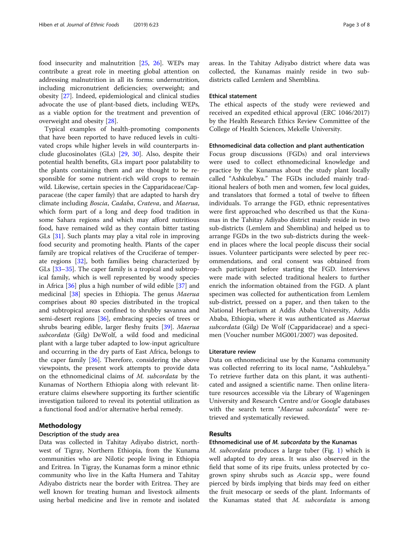food insecurity and malnutrition [[25,](#page-6-0) [26\]](#page-6-0). WEPs may contribute a great role in meeting global attention on addressing malnutrition in all its forms: undernutrition, including micronutrient deficiencies; overweight; and obesity [[27\]](#page-6-0). Indeed, epidemiological and clinical studies advocate the use of plant-based diets, including WEPs, as a viable option for the treatment and prevention of overweight and obesity [[28\]](#page-6-0).

Typical examples of health-promoting components that have been reported to have reduced levels in cultivated crops while higher levels in wild counterparts include glucosinolates (GLs) [\[29,](#page-6-0) [30\]](#page-6-0). Also, despite their potential health benefits, GLs impart poor palatability to the plants containing them and are thought to be responsible for some nutrient-rich wild crops to remain wild. Likewise, certain species in the Capparidaceae/Capparaceae (the caper family) that are adapted to harsh dry climate including Boscia, Cadaba, Crateva, and Maerua, which form part of a long and deep food tradition in some Sahara regions and which may afford nutritious food, have remained wild as they contain bitter tasting GLs [[31\]](#page-6-0). Such plants may play a vital role in improving food security and promoting health. Plants of the caper family are tropical relatives of the Cruciferae of temperate regions [\[32](#page-6-0)], both families being characterized by GLs [[33](#page-6-0)–[35](#page-6-0)]. The caper family is a tropical and subtropical family, which is well represented by woody species in Africa [[36\]](#page-6-0) plus a high number of wild edible [[37](#page-6-0)] and medicinal [\[38](#page-6-0)] species in Ethiopia. The genus Maerua comprises about 80 species distributed in the tropical and subtropical areas confined to shrubby savanna and semi-desert regions [[36](#page-6-0)], embracing species of trees or shrubs bearing edible, larger fleshy fruits [\[39](#page-6-0)]. Maerua subcordata (Gilg) DeWolf, a wild food and medicinal plant with a large tuber adapted to low-input agriculture and occurring in the dry parts of East Africa, belongs to the caper family [\[36](#page-6-0)]. Therefore, considering the above viewpoints, the present work attempts to provide data on the ethnomedicinal claims of M. subcordata by the Kunamas of Northern Ethiopia along with relevant literature claims elsewhere supporting its further scientific investigation tailored to reveal its potential utilization as a functional food and/or alternative herbal remedy.

# Methodology

#### Description of the study area

Data was collected in Tahitay Adiyabo district, northwest of Tigray, Northern Ethiopia, from the Kunama communities who are Nilotic people living in Ethiopia and Eritrea. In Tigray, the Kunamas form a minor ethnic community who live in the Kafta Humera and Tahitay Adiyabo districts near the border with Eritrea. They are well known for treating human and livestock ailments using herbal medicine and live in remote and isolated areas. In the Tahitay Adiyabo district where data was collected, the Kunamas mainly reside in two subdistricts called Lemlem and Shemblina.

# Ethical statement

The ethical aspects of the study were reviewed and received an expedited ethical approval (ERC 1046/2017) by the Health Research Ethics Review Committee of the College of Health Sciences, Mekelle University.

#### Ethnomedicinal data collection and plant authentication

Focus group discussions (FGDs) and oral interviews were used to collect ethnomedicinal knowledge and practice by the Kunamas about the study plant locally called "Ashkulebya." The FGDs included mainly traditional healers of both men and women, few local guides, and translators that formed a total of twelve to fifteen individuals. To arrange the FGD, ethnic representatives were first approached who described us that the Kunamas in the Tahitay Adiyabo district mainly reside in two sub-districts (Lemlem and Shemblina) and helped us to arrange FGDs in the two sub-districts during the weekend in places where the local people discuss their social issues. Volunteer participants were selected by peer recommendations, and oral consent was obtained from each participant before starting the FGD. Interviews were made with selected traditional healers to further enrich the information obtained from the FGD. A plant specimen was collected for authentication from Lemlem sub-district, pressed on a paper, and then taken to the National Herbarium at Addis Ababa University, Addis Ababa, Ethiopia, where it was authenticated as Maerua subcordata (Gilg) De Wolf (Capparidaceae) and a specimen (Voucher number MG001/2007) was deposited.

### Literature review

Data on ethnomedicinal use by the Kunama community was collected referring to its local name, "Ashkulebya." To retrieve further data on this plant, it was authenticated and assigned a scientific name. Then online literature resources accessible via the Library of Wageningen University and Research Centre and/or Google databases with the search term "Maerua subcordata" were retrieved and systematically reviewed.

# Results

#### Ethnomedicinal use of M. subcordata by the Kunamas

M. subcordata produces a large tuber (Fig. [1](#page-3-0)) which is well adapted to dry areas. It was also observed in the field that some of its ripe fruits, unless protected by cogrown spiny shrubs such as Acacia spp., were found pierced by birds implying that birds may feed on either the fruit mesocarp or seeds of the plant. Informants of the Kunamas stated that M. subcordata is among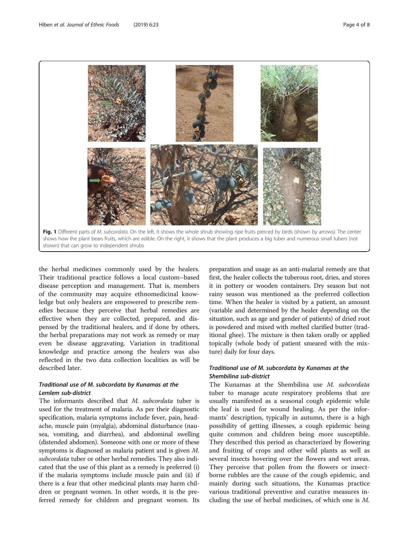<span id="page-3-0"></span>

the herbal medicines commonly used by the healers. Their traditional practice follows a local custom–based disease perception and management. That is, members of the community may acquire ethnomedicinal knowledge but only healers are empowered to prescribe remedies because they perceive that herbal remedies are effective when they are collected, prepared, and dispensed by the traditional healers, and if done by others, the herbal preparations may not work as remedy or may even be disease aggravating. Variation in traditional knowledge and practice among the healers was also reflected in the two data collection localities as will be described later.

# Traditional use of M. subcordata by Kunamas at the Lemlem sub-district

The informants described that M. subcordata tuber is used for the treatment of malaria. As per their diagnostic specification, malaria symptoms include fever, pain, headache, muscle pain (myalgia), abdominal disturbance (nausea, vomiting, and diarrhea), and abdominal swelling (distended abdomen). Someone with one or more of these symptoms is diagnosed as malaria patient and is given M. subcordata tuber or other herbal remedies. They also indicated that the use of this plant as a remedy is preferred (i) if the malaria symptoms include muscle pain and (ii) if there is a fear that other medicinal plants may harm children or pregnant women. In other words, it is the preferred remedy for children and pregnant women. Its preparation and usage as an anti-malarial remedy are that first, the healer collects the tuberous root, dries, and stores it in pottery or wooden containers. Dry season but not rainy season was mentioned as the preferred collection time. When the healer is visited by a patient, an amount (variable and determined by the healer depending on the situation, such as age and gender of patients) of dried root is powdered and mixed with melted clarified butter (traditional ghee). The mixture is then taken orally or applied topically (whole body of patient smeared with the mixture) daily for four days.

# Traditional use of M. subcordata by Kunamas at the Shembilina sub-district

The Kunamas at the Shembilina use M. subcordata tuber to manage acute respiratory problems that are usually manifested as a seasonal cough epidemic while the leaf is used for wound healing. As per the informants' description, typically in autumn, there is a high possibility of getting illnesses, a cough epidemic being quite common and children being more susceptible. They described this period as characterized by flowering and fruiting of crops and other wild plants as well as several insects hovering over the flowers and wet areas. They perceive that pollen from the flowers or insectborne rubbles are the cause of the cough epidemic, and mainly during such situations, the Kunamas practice various traditional preventive and curative measures including the use of herbal medicines, of which one is M.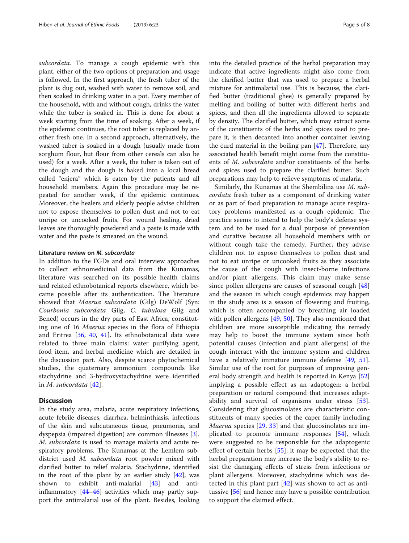subcordata. To manage a cough epidemic with this plant, either of the two options of preparation and usage is followed. In the first approach, the fresh tuber of the plant is dug out, washed with water to remove soil, and then soaked in drinking water in a pot. Every member of the household, with and without cough, drinks the water while the tuber is soaked in. This is done for about a week starting from the time of soaking. After a week, if the epidemic continues, the root tuber is replaced by another fresh one. In a second approach, alternatively, the washed tuber is soaked in a dough (usually made from sorghum flour, but flour from other cereals can also be used) for a week. After a week, the tuber is taken out of the dough and the dough is baked into a local bread called "enjera" which is eaten by the patients and all household members. Again this procedure may be repeated for another week, if the epidemic continues. Moreover, the healers and elderly people advise children not to expose themselves to pollen dust and not to eat unripe or uncooked fruits. For wound healing, dried leaves are thoroughly powdered and a paste is made with water and the paste is smeared on the wound.

#### Literature review on M. subcordata

In addition to the FGDs and oral interview approaches to collect ethnomedicinal data from the Kunamas, literature was searched on its possible health claims and related ethnobotanical reports elsewhere, which became possible after its authentication. The literature showed that Maerua subcordata (Gilg) DeWolf (Syn: Courbonia subcordata Gilg, C. tubulosa Gilg and Bened) occurs in the dry parts of East Africa, constituting one of 16 Maerua species in the flora of Ethiopia and Eritrea [[36,](#page-6-0) [40,](#page-6-0) [41\]](#page-6-0). Its ethnobotanical data were related to three main claims: water purifying agent, food item, and herbal medicine which are detailed in the discussion part. Also, despite scarce phytochemical studies, the quaternary ammonium compounds like stachydrine and 3-hydroxystachydrine were identified in M. subcordata [\[42](#page-6-0)].

# **Discussion**

In the study area, malaria, acute respiratory infections, acute febrile diseases, diarrhea, helminthiasis, infections of the skin and subcutaneous tissue, pneumonia, and dyspepsia (impaired digestion) are common illnesses [\[3](#page-6-0)]. M. subcordata is used to manage malaria and acute respiratory problems. The Kunamas at the Lemlem subdistrict used M. subcordata root powder mixed with clarified butter to relief malaria. Stachydrine, identified in the root of this plant by an earlier study  $[42]$  $[42]$  $[42]$ , was shown to exhibit anti-malarial [\[43](#page-6-0)] and antiinflammatory [[44](#page-6-0)–[46](#page-6-0)] activities which may partly support the antimalarial use of the plant. Besides, looking into the detailed practice of the herbal preparation may indicate that active ingredients might also come from the clarified butter that was used to prepare a herbal mixture for antimalarial use. This is because, the clarified butter (traditional ghee) is generally prepared by melting and boiling of butter with different herbs and spices, and then all the ingredients allowed to separate by density. The clarified butter, which may extract some of the constituents of the herbs and spices used to prepare it, is then decanted into another container leaving the curd material in the boiling pan [[47\]](#page-6-0). Therefore, any associated health benefit might come from the constituents of M. subcordata and/or constituents of the herbs and spices used to prepare the clarified butter. Such preparations may help to relieve symptoms of malaria.

Similarly, the Kunamas at the Shembilina use M. subcordata fresh tuber as a component of drinking water or as part of food preparation to manage acute respiratory problems manifested as a cough epidemic. The practice seems to intend to help the body's defense system and to be used for a dual purpose of prevention and curative because all household members with or without cough take the remedy. Further, they advise children not to expose themselves to pollen dust and not to eat unripe or uncooked fruits as they associate the cause of the cough with insect-borne infections and/or plant allergens. This claim may make sense since pollen allergens are causes of seasonal cough [\[48](#page-6-0)] and the season in which cough epidemics may happen in the study area is a season of flowering and fruiting, which is often accompanied by breathing air loaded with pollen allergens [[49,](#page-6-0) [50\]](#page-6-0). They also mentioned that children are more susceptible indicating the remedy may help to boost the immune system since both potential causes (infection and plant allergens) of the cough interact with the immune system and children have a relatively immature immune defense [[49,](#page-6-0) [51](#page-7-0)]. Similar use of the root for purposes of improving general body strength and health is reported in Kenya [\[52](#page-7-0)] implying a possible effect as an adaptogen: a herbal preparation or natural compound that increases adaptability and survival of organisms under stress [\[53](#page-7-0)]. Considering that glucosinolates are characteristic constituents of many species of the caper family including Maerua species [[29,](#page-6-0) [33](#page-6-0)] and that glucosinolates are implicated to promote immune responses [[54\]](#page-7-0), which were suggested to be responsible for the adaptogenic effect of certain herbs [[55\]](#page-7-0), it may be expected that the herbal preparation may increase the body's ability to resist the damaging effects of stress from infections or plant allergens. Moreover, stachydrine which was detected in this plant part [[42\]](#page-6-0) was shown to act as antitussive [[56](#page-7-0)] and hence may have a possible contribution to support the claimed effect.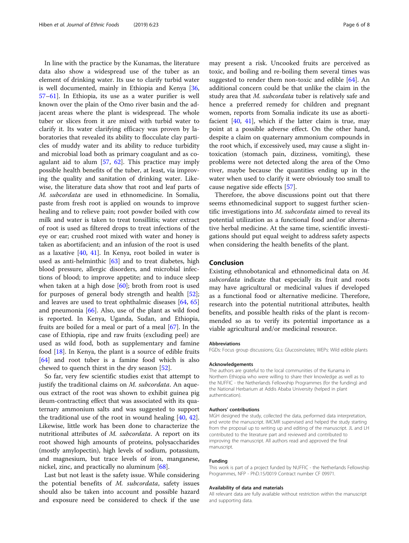In line with the practice by the Kunamas, the literature data also show a widespread use of the tuber as an element of drinking water. Its use to clarify turbid water is well documented, mainly in Ethiopia and Kenya [[36](#page-6-0), [57](#page-7-0)–[61](#page-7-0)]. In Ethiopia, its use as a water purifier is well known over the plain of the Omo river basin and the adjacent areas where the plant is widespread. The whole tuber or slices from it are mixed with turbid water to clarify it. Its water clarifying efficacy was proven by laboratories that revealed its ability to flocculate clay particles of muddy water and its ability to reduce turbidity and microbial load both as primary coagulant and as coagulant aid to alum [[57](#page-7-0), [62](#page-7-0)]. This practice may imply possible health benefits of the tuber, at least, via improving the quality and sanitation of drinking water. Likewise, the literature data show that root and leaf parts of M. subcordata are used in ethnomedicine. In Somalia, paste from fresh root is applied on wounds to improve healing and to relieve pain; root powder boiled with cow milk and water is taken to treat tonsillitis; water extract of root is used as filtered drops to treat infections of the eye or ear; crushed root mixed with water and honey is taken as abortifacient; and an infusion of the root is used as a laxative [[40](#page-6-0), [41\]](#page-6-0). In Kenya, root boiled in water is used as anti-helminthic [[63\]](#page-7-0) and to treat diabetes, high blood pressure, allergic disorders, and microbial infections of blood; to improve appetite; and to induce sleep when taken at a high dose  $[60]$  $[60]$  $[60]$ ; broth from root is used for purposes of general body strength and health [\[52](#page-7-0)]; and leaves are used to treat ophthalmic diseases [\[64](#page-7-0), [65](#page-7-0)] and pneumonia [[66\]](#page-7-0). Also, use of the plant as wild food is reported. In Kenya, Uganda, Sudan, and Ethiopia, fruits are boiled for a meal or part of a meal [\[67](#page-7-0)]. In the case of Ethiopia, ripe and raw fruits (excluding peel) are used as wild food, both as supplementary and famine food [\[18](#page-6-0)]. In Kenya, the plant is a source of edible fruits [[64\]](#page-7-0) and root tuber is a famine food which is also chewed to quench thirst in the dry season [\[52\]](#page-7-0).

So far, very few scientific studies exist that attempt to justify the traditional claims on M. subcordata. An aqueous extract of the root was shown to exhibit guinea pig ileum-contracting effect that was associated with its quaternary ammonium salts and was suggested to support the traditional use of the root in wound healing [\[40](#page-6-0), [42](#page-6-0)]. Likewise, little work has been done to characterize the nutritional attributes of M. subcordata. A report on its root showed high amounts of proteins, polysaccharides (mostly amylopectin), high levels of sodium, potassium, and magnesium, but trace levels of iron, manganese, nickel, zinc, and practically no aluminum [[68\]](#page-7-0).

Last but not least is the safety issue. While considering the potential benefits of M. subcordata, safety issues should also be taken into account and possible hazard and exposure need be considered to check if the use may present a risk. Uncooked fruits are perceived as toxic, and boiling and re-boiling them several times was suggested to render them non-toxic and edible [\[64](#page-7-0)]. An additional concern could be that unlike the claim in the study area that M. subcordata tuber is relatively safe and hence a preferred remedy for children and pregnant women, reports from Somalia indicate its use as abortifacient  $[40, 41]$  $[40, 41]$  $[40, 41]$  $[40, 41]$ , which if the latter claim is true, may point at a possible adverse effect. On the other hand, despite a claim on quaternary ammonium compounds in the root which, if excessively used, may cause a slight intoxication (stomach pain, dizziness, vomiting), these problems were not detected along the area of the Omo river, maybe because the quantities ending up in the water when used to clarify it were obviously too small to cause negative side effects [\[57](#page-7-0)].

Therefore, the above discussions point out that there seems ethnomedicinal support to suggest further scientific investigations into M. subcordata aimed to reveal its potential utilization as a functional food and/or alternative herbal medicine. At the same time, scientific investigations should put equal weight to address safety aspects when considering the health benefits of the plant.

# Conclusion

Existing ethnobotanical and ethnomedicinal data on M. subcordata indicate that especially its fruit and roots may have agricultural or medicinal values if developed as a functional food or alternative medicine. Therefore, research into the potential nutritional attributes, health benefits, and possible health risks of the plant is recommended so as to verify its potential importance as a viable agricultural and/or medicinal resource.

#### Abbreviations

FGDs: Focus group discussions; GLs: Glucosinolates; WEPs: Wild edible plants

#### Acknowledgements

The authors are grateful to the local communities of the Kunama in Northern Ethiopia who were willing to share their knowledge as well as to the NUFFIC - the Netherlands Fellowship Programmes (for the funding) and the National Herbarium at Addis Ababa University (helped in plant authentication).

#### Authors' contributions

MGH designed the study, collected the data, performed data interpretation, and wrote the manuscript. IMCMR supervised and helped the study starting from the proposal up to writing up and editing of the manuscript. JL and LH contributed to the literature part and reviewed and contributed to improving the manuscript. All authors read and approved the final manuscript.

#### Funding

This work is part of a project funded by NUFFIC - the Netherlands Fellowship Programmes, NFP - PhD.15/0019 Contract number CF 09971.

#### Availability of data and materials

All relevant data are fully available without restriction within the manuscript and supporting data.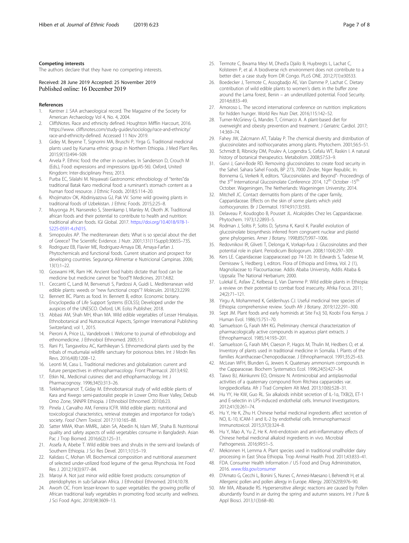#### <span id="page-6-0"></span>Competing interests

The authors declare that they have no competing interests.

Received: 28 June 2019 Accepted: 25 November 2019 Published online: 16 December 2019

#### References

- 1. Kantner J. SAA archaeological record. The Magazine of the Society for American Archaeology Vol 4, No. 4, 2004.
- 2. CliffsNotes. Race and ethnicity defined. Houghton Mifflin Harcourt, 2016. https://www. cliffsnotes.com/study-guides/sociology/race-and-ethnicity/ race-and-ethnicity-defined. Accessed 11 Nov 2019.
- 3. Gidey M, Beyene T, Signorini MA, Bruschi P, Yirga G. Traditional medicinal plants used by Kunama ethnic group in Northern Ethiopia. J Med Plant Res. 2015;9(15):494–509.
- 4. Arvela P. Ethnic food: the other in ourselves. In Sanderson D, Crouch M (Eds.), Food: expressions and impressions (pp.45-56). Oxford, United Kingdom: Inter-disciplinary Press; 2013.
- Purba EC, Silalahi M. Nisyawati Gastronomic ethnobiology of "terites"da traditional Batak Karo medicinal food: a ruminant's stomach content as a human food resource. J Ethnic Foods. 2018;5:114–20.
- 6. Khojimatov OK, Abdiniyazova GJ, Pak VV. Some wild growing plants in traditional foods of Uzbekistan. J Ethnic Foods. 2015;2:25–8.
- 7. Muyonga JH, Nansereko S, Steenkamp I, Manley M, Okoth JK. Traditional african foods and their potential to contribute to health and nutrition: traditional african foods. IGI Global. 2017. [https://doi.org/10.4018/978-1-](https://doi.org/10.4018/978-1-5225-0591-4.ch015) [5225-0591-4.ch015.](https://doi.org/10.4018/978-1-5225-0591-4.ch015)
- Simopoulos AP. The mediterranean diets: What is so special about the diet of Greece? The Scientific Evidence. J Nutr. 2001;131(11Suppl):3065S–73S.
- 9. Rodriguez EB, Flavier ME, Rodriguez-Amaya DB, Amaya-Farfan J. Phytochemicals and functional foods. Current situation and prospect for developing countries. Segurança Alimentar e Nutricional Campinas. 2006; 13(1):1–22.
- 10. Goswami HK, Ram HK. Ancient food habits dictate that food can be medicine but medicine cannot be "food"!! Medicines. 2017;4:82.
- 11. Ceccanti C, Landi M, Benvenuti S, Pardossi A, Guidi L. Mediterranean wild edible plants: weeds or "new functional crops"? Molecules. 2018;23:2299.
- 12. Bennett BC. Plants as food. In: Bennett B, editor. Economic botany. Encyclopedia of Life Support Systems (EOLSS); Developed under the auspices of the UNESCO. Oxford, UK: Eolss Publisher; 2018.
- 13. Abbasi AM, Shah MH, Khan MA. Wild edible vegetables of Lesser Himalayas. Ethnobotanical and Nutraceutical Aspects, Springer International Publishing Switzerland; vol 1, 2015.
- 14. Pieroni A, Price LL, Vandebroek I. Welcome to journal of ethnobiology and ethnomedicine. J Ethnobiol Ethnomed. 2005;1:1.
- 15. Rani PJ, Tangavelou AC, Karthikeyan S. Ethnomedicinal plants used by the tribals of mudumalai wildlife sanctuary for poisonous bites. Int J Modn Res Revs. 2016;4(8):1208–12.
- 16. Leonti M, Casu L. Traditional medicines and globalization: current and future perspectives in ethnopharmacology. Front Pharmacol. 2013;4:92.
- 17. Etkin NL. Medicinal cuisines: diet and ethopharmacology. Int J Pharmacognosy. 1996;34(5):313–26.
- 18. Teklehaymanot T, Giday M. Ethnobotanical study of wild edible plants of Kara and Kwego semi-pastoralist people in Lower Omo River Valley, Debub Omo Zone, SNNPR Ethiopia. J Ethnobiol Ethnomed. 2010;6:23.
- 19. Pinela J, Carvalho AM, Ferreira ICFR. Wild edible plants: nutritional and toxicological characteristics, retrieval strategies and importance for today's society. Food Chem Toxicol. 2017;110:165–88.
- 20. Satter MMA, Khan MMRL, Jabin SA, Abedin N, Islam MF, Shaha B. Nutritional quality and safety aspects of wild vegetables consume in Bangladesh. Asian Pac J Trop Biomed. 2016;6(2):125–31.
- 21. Assefa A, Abebe T. Wild edible trees and shrubs in the semi-arid lowlands of Southern Ethiopia. J Sci Res Devel. 2011;1(1):5–19.
- 22. Kalidass C, Mohan VR. Biochemical composition and nutritional assessment of selected under-utilized food legume of the genus Rhynchosia. Int Food Res J. 2012;19(3):977–84.
- 23. Maroyi A. Not just minor wild edible forest products: consumption of pteridophytes in sub-Saharan Africa. J Ethnobiol Ethnomed. 2014;10:78.
- 24. Aworh OC. From lesser-known to super vegetables: the growing profile of African traditional leafy vegetables in promoting food security and wellness. J Sci Food Agric. 2018;98:3609–13.
- 25. Termote C, Bwama Meyi M, Dhed'a Djailo B, Huybregts L, Lachat C, Kolsteren P, et al. A biodiverse rich environment does not contribute to a better diet: a case study from DR Congo. PLoS ONE. 2012;7(1):e30533.
- 26. Boedecker J, Termote C, Assogbadjo AE, Van Damme P, Lachat C. Dietary contribution of wild edible plants to women's diets in the buffer zone around the Lama forest, Benin – an underutilized potential. Food Security. 2014;6:833–49.
- 27. Amoroso L. The second international conference on nutrition: implications for hidden hunger. World Rev Nutr Diet. 2016;115:142–52.
- 28. Turner-McGrievy G, Mandes T, Crimarco A. A plant-based diet for overweight and obesity prevention and treatment. J Geriatric Cardiol. 2017; 14:369–74.
- 29. Fahey JW, Zalcmann AT, Talalay P. The chemical diversity and distribution of glucosinolates and isothiocyanates among plants. Phytochem. 2001;56:5–51.
- 30. Schmidt B, Ribnicky DM, Poulev A, Logendra S, Cefalu WT, Raskin I. A natural history of botanical therapeutics. Metabolism. 2008;57:S3–9.
- 31. Garvi J, Garvi-Bode RD. Removing glucosinolates to create food security in the Sahel. Sahara Sahel Foods, BP 273, 7000 Zinder, Niger Republic. In: Bonnema G, Verkerk R, editors. "Glucosinolates and Beyond"- Proceedings of the 3<sup>rd</sup> International Glucosinolate Conference 2014, 12<sup>th</sup> October -15<sup>th</sup> October. Wageningen, The Netherlands: Wageningen University; 2014.
- 32. Mitchell JC. Contact dermatitis from plants of the caper family, Capparidaceae. Effects on the skin of some plants which yield isothiocyanates. Br J Dermatol. 1974;91(13):593.
- 33. Delaveau P, Koudogbo B, Pousset JL. Alcalojides Chez les Capparidaceae. Phytochem. 1973;12:2893–5.
- 34. Rodman J, Soltis P, Soltis D, Sytsma K, Karol K. Parallel evolution of glucosinolate biosynthesis inferred from congruent nuclear and plastid gene phylogenies. Amer J Botany. 1998;85(7):997–1006.
- 35. Redovnikovi IR, Gliveti T, Delonga K, Vorkapi-fura J. Glucosinolates and their potential role in plant. Periodicum Biologorum. 2008;110(4):297–309.
- 36. Kers LE. Caparidaceae (capparaceae) pp 74-120. In: Edwards S, Tadesse M, Demissew S, Hedberg I, editors. Flora of Ethiopia and Eritrea, Vol. 2 (1), Magnoliaceae to Flacourtiaceae. Addis Ababa University, Addis Ababa & Uppsala: The National Herbarium; 2000.
- 37. Lulekal E, Asfaw Z, Kelbessa E, Van Damme P. Wild edible plants in Ethiopia: a review on their potential to combat food insecurity. Afrika Focus. 2011; 24(2):71–121.
- 38. Yirgu A, Mohammed K, Geldenhuys CJ. Useful medicinal tree species of Ethiopia: comprehensive review. South Afr J Botany. 2019;122:291–300.
- 39. Sept JM. Plant foods and early hominids at Site FxJj 50, Koobi Fora Kenya. J Human Evol. 1986;15:751–70.
- 40. Samuelsson G, Farah MH KG. Preliminary chemical characterization of pharmacologically active compounds in aqueous plant extracts. J Ethnopharmacol. 1985;14:193–201.
- 41. Samuelsson G, Farah MH, CIaeson P, Hagos M, Thulin M, Hedbers O, et al. Inventory of plants used in traditional medicine in Somalia. I. Plants of the families Acanthaceae-Chenopodiaceae. J Ethnopharmacol. 1991;35:25–63.
- 42. McLean WFH, Blunden G, Jewers K. Quatenary ammonium compounds in the Capparaceae. Biochem Systematics Ecol. 1996;24(5):427–34.
- 43. Taiwo BJ, Akinkunmi EO, Omisore N. Antimicrobial and antiplasmodial activities of a quaternary compound from Ritchiea capparoides var. longipedicellata. Afr J Trad Complem Alt Med. 2013;10(6):528–31.
- 44. Hu YY, He KW, Guo RL. Six alkaloids inhibit secretion of IL-1α, TXB(2), ET-1 and E-selectin in LPS-induced endothelial cells. Immunol Investigations. 2012;41(3):261–74.
- 45. Hu Y, He K, Zhu H. Chinese herbal medicinal ingredients affect secretion of NO, IL-10, ICAM-1 and IL-2 by endothelial cells. Immunopharmacol Immunotoxicol. 2015;37(3):324–8.
- 46. Hu Y, Mao A, Yu Z, He K. Anti-endotoxin and anti-inflammatory effects of Chinese herbal medicinal alkaloid ingredients in vivo. Microbial Pathogenesis. 2016;99:51–5.
- 47. Mekonnen H, Lemma A. Plant species used in traditional smallholder dairy processing in East Shoa Ethiopia. Trop Animal Health Prod. 2011;43:833–41.
- 48. FDA. Consumer Health Information / US Food and Drug Administration, 2016. [www.fda.gov/consumer](http://www.fda.gov/consumer)
- 49. D'Amato G, Cecchi L, Bonini S, Nunes C, Annesi-Maesano I, Behrendt H, et al. Allergenic pollen and pollen allergy in Europe. Allergy. 2007;62(9):976–90.
- 50. Mir MA, Albaradie RS. Hypersensitive allergic reactions are caused by Pollen abundantly found in air during the spring and autumn seasons. Int J Pure & Appl Biosci. 2013;1(3):68–80.